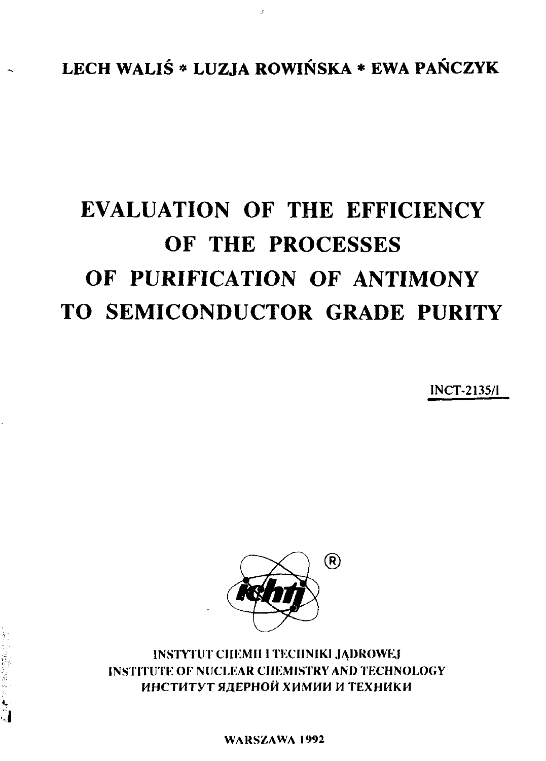LECH WALIŚ \* LUZJA ROWIŃSKA \* EWA PAŃCZYK

 $\mathcal{A}$ 

# **EVALUATION OF THE EFFICIENCY OF THE PROCESSES OF PURIFICATION OF ANTIMONY TO SEMICONDUCTOR GRADE PURITY**

**1NCT-2135/1**



**INSTYTUT CHEMII I TECHNIKI JĄDROWEJ INSTITUTE OF NUCLEAR CHEMISTRY AND TECHNOLOGY** ИНСТИТУТ ЯДЕРНОЙ ХИМИИ И ТЕХНИКИ

初刊 逆指 阿彦 800 ★ 70

**WARSZAWA 1992**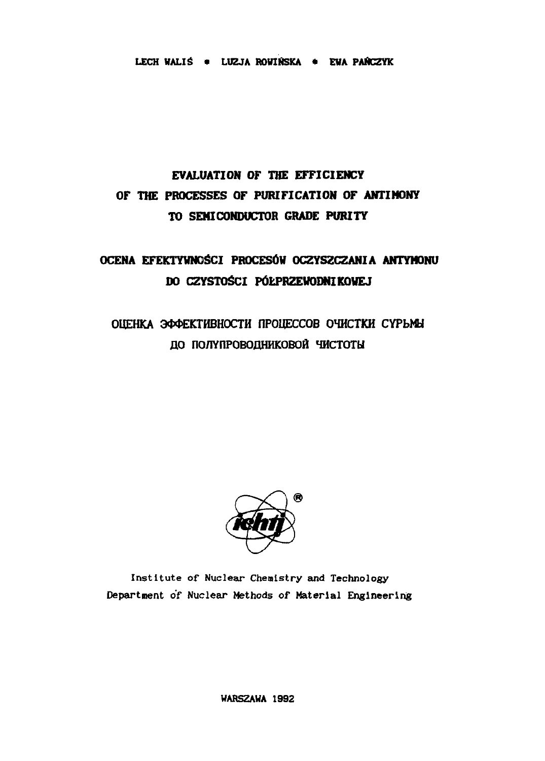**LECH WALIS \* LUZJA ROWIŃSKA \* EWA PAŃCZYK** 

# **EVALUATION OF THE EFFICIENCY OF THE PROCESSES OF PURIFICATION OF ANTIMONY TO SEMICONDUCTOR GRADE PURITY**

# **OCENA EFEKTYWNOŚCI PROCESÓW OCZYSZCZANIA ANTYHONU DO CZYSTOŚCI PÓŁPRZEWODNIKOWEJ**

# ОЦЕНКА ЭФФЕКТИВНОСТИ ПРОЦЕССОВ ОЧИСТКИ СУРЬМЫ **ДО ПОЛУПРОВОДНИКОВОЙ ЧИСТОТЫ**



Institute of Nuclear Chemistry and Technology Department of Nuclear Methods of **Material Engineering**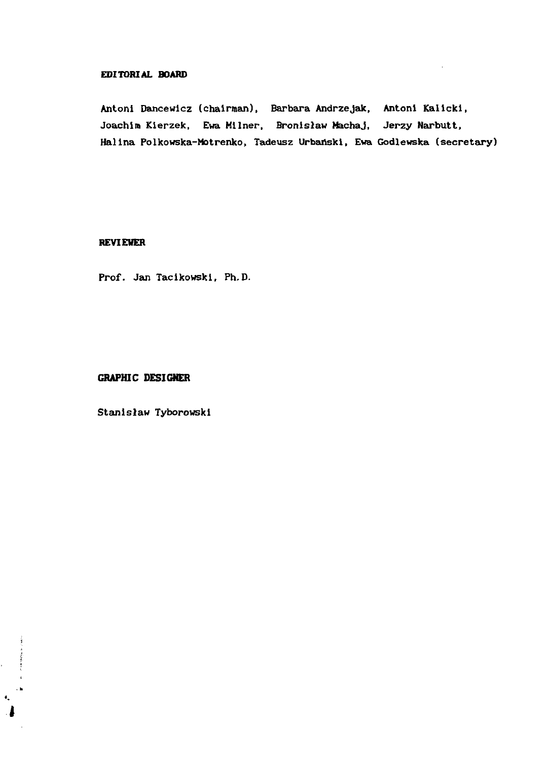#### **EDITORIAL BOARD**

Antoni Dancewicz (chairman), Barbara Andrzejak, Antoni Kallcki, Joachim Kierzek, Ewa Milner, Bronisław Machaj, Jerzy Narbutt, Halina Polkowska-Motrenko, Tadeusz Urbański, Ewa Godlewska (secretary)

# **REVIEWER**

Prof. Jan Tacikowski, Ph.D.

# **GRAPHIC DESIGHER**

 $\label{eq:reduced} \begin{split} \mathcal{L}_{\text{c}}(\mathbf{r}) & = \mathcal{L}_{\text{c}}(\mathbf{r}) \mathcal{L}_{\text{c}}(\mathbf{r}) \mathcal{L}_{\text{c}}(\mathbf{r}) \\ & = \mathcal{L}_{\text{c}}(\mathbf{r}) \mathcal{L}_{\text{c}}(\mathbf{r}) \mathcal{L}_{\text{c}}(\mathbf{r}) \mathcal{L}_{\text{c}}(\mathbf{r}) \mathcal{L}_{\text{c}}(\mathbf{r}) \mathcal{L}_{\text{c}}(\mathbf{r}) \mathcal{L}_{\text{c}}(\mathbf{r}) \mathcal{L}_{\text{c}}(\mathbf{$ 

 $\frac{1}{2}$  $\bullet_\bullet$ 

Stanisław Tyborowski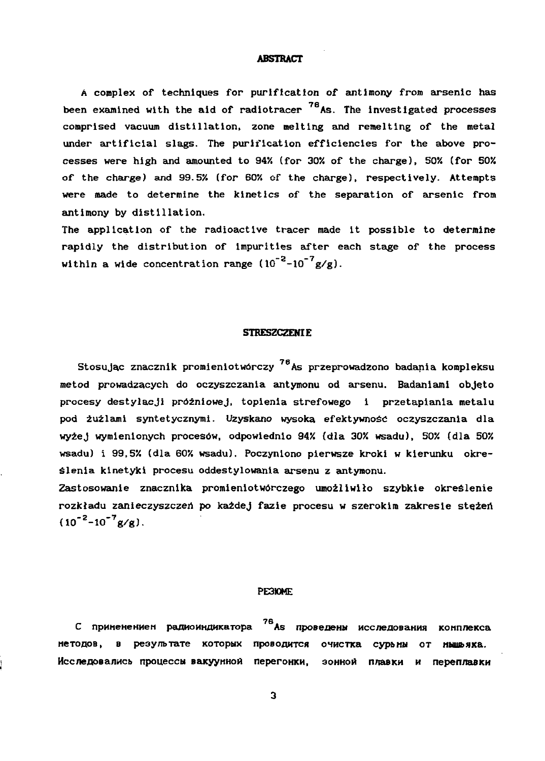#### **ABSTRACT**

**A complex of techniques for purification of antimony from arsenic has been examined with the aid of radiotracer As. The investigated processes comprised vacuum distillation, zone melting and remelting of the metal under artificial slags. The purification efficiencies for the above pro cesses were high and amounted to 94'/. (for 30% of the charge), 50% (for 50%** of the charge) and 99.5% (for 60% of the charge), respectively. Attempts **were made to determine the kinetics of the separation of arsenic from antimony by distillation.**

**The application of the radioactive tracer made it possible to determine rapidly the distribution of impurities after each stage of the process** within a wide concentration range  $(10^{-2}-10^{-7}g/g)$ .

#### **STRESZCZENIE**

**Stosując znacznik promieniotwórczy 7e As przeprowadzono badania kompleksu metod prowadzących do oczyszczania antymonu od arsenu. Badaniami objęto procesy destylacji próżniowej, topienia strefowego i przetapiania metalu pod żużlami syntetycznymi. Uzyskano wysoka efektywnoś oczyszczania dla wyżej wymienionych procesów, odpowiednio 94% (dla 30% wsadu), 50% (dla 50% wsadu) i 99,5% (dla 60% wsadu). Poczyniono pierwsze kroki w kierunku okre ślenia kinetyki procesu oddestylowania arsenu z antymonu.**

**Zastosowanie znacznika promieniotwórczego umożliwiło szybkie określenie** rozkładu zanieczyszczeń po każdej fazie procesu w szerokim zakresie stężeń **(10~<sup>2</sup> -10'<sup>7</sup> g/g).**

#### **РЕЗЮМ**

С применением радиоиндикатора<sup>76</sup> As проведены исследования комплекса методов, в результате которых проводится очистка сурьмы от мышьяка. Исследовались процессы вакуунной перегонки, зонной плавки и переплавки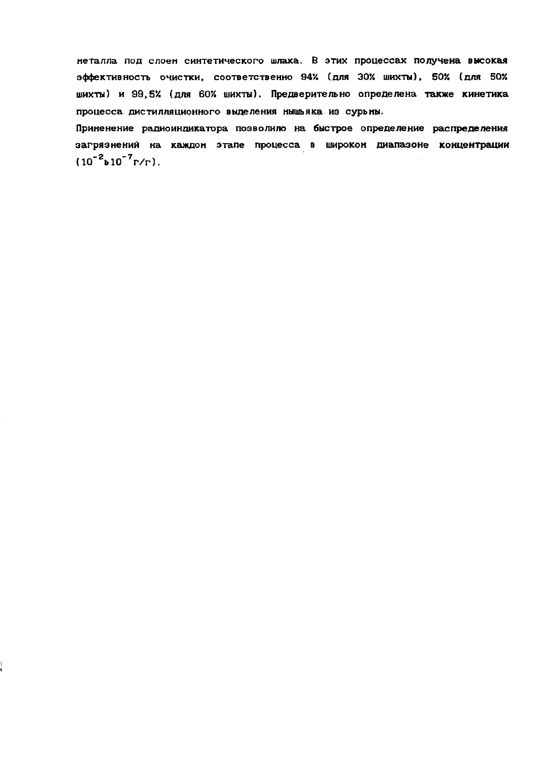неталла под слоем синтетического шлака. В этих процессах получена высокая эффективность очистки, соответственно 94% (для 30% шихты), 50% (для 50% шихты) и 99,5% (для 60% шихты). Предверительно определена также кинетика процесса дистилляционного выделения мышьяка из сурьмы.

Приненение радиоиндикатора позволило на быстрое определение распределения загрязнений на каждом этапе процесса в широком диапазоне концентрации  $(10^{-2} \text{b} 10^{-7} \text{r/r}).$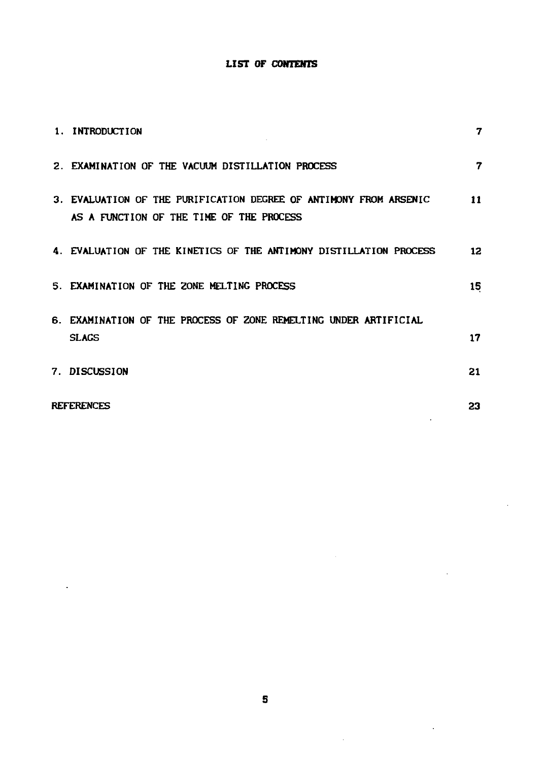# **LIST OF CONTENTS**

| 1. INTRODUCTION                                                                                               | 7  |
|---------------------------------------------------------------------------------------------------------------|----|
| 2. EXAMINATION OF THE VACUUM DISTILLATION PROCESS                                                             | 7  |
| 3. EVALUATION OF THE PURIFICATION DEGREE OF ANTIMONY FROM ARSENIC<br>AS A FUNCTION OF THE TIME OF THE PROCESS | 11 |
| 4. EVALUATION OF THE KINETICS OF THE ANTIMONY DISTILLATION PROCESS                                            | 12 |
| 5. EXAMINATION OF THE ZONE MELTING PROCESS                                                                    | 15 |
| 6. EXAMINATION OF THE PROCESS OF ZONE REMELTING UNDER ARTIFICIAL<br><b>SLAGS</b>                              | 17 |
| <b>7. DISCUSSION</b>                                                                                          | 21 |
| <b>REFERENCES</b>                                                                                             | 23 |

 $\sim$ 

 $\bar{z}$ 

l,

 $\ddot{\phantom{a}}$ 

 $\ddot{\phantom{a}}$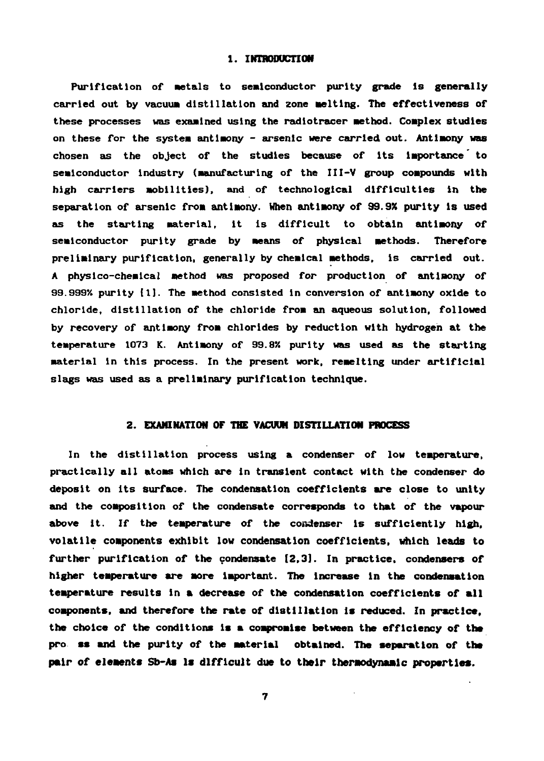#### **1. INTRODUCTION**

**Purification of Metals to semiconductor purity grade is generally carried out by vacuum distillation and zone melting. The effectiveness of these processes was examined using the radlotracer method. Complex studies on these for the system antimony - arsenic were carried out. Antimony was chosen as the object of the studies because of its importance' to semiconductor industry (manufacturing of the III-V group compounds with high carriers mobilities), and of technological difficulties in the separation of arsenic from antimony. When antimony of 99.9X purity is used as the starting material, it Is difficult to obtain antimony of semiconductor purity grade by means of physical methods. Therefore preliminary purification, generally by chemical methods, is carried out. A physico-chemical method was proposed for production of antimony of 99.9994 purity [1]. The method consisted in conversion of antimony oxide to chloride, distillation of the chloride from an aqueous solution, followed by recovery of antimony from chlorides by reduction with hydrogen at the** temperature 1073 K. Antimony of 99.8% purity was used as the starting **material in this process. In the present work, remeltlng under artificial slags was used as a preliminary purification technique.**

#### **2. EXAMINATION OF THE VACUUM DISTILLATION PROCESS**

**In the distillation process using a condenser of low temperature, practically all atoms which are in transient contact with the condenser do** deposit on its surface. The condensation coefficients are close to unity **and the composition of the condensate corresponds to that of the vapour above it. If the temperature of the condenser is sufficiently high, volatile components exhibit low condensation coefficients, which leads to further purification of the condensate 12,3]. In practice, condensers of higher temperature are more Important. The increase in the condensation temperature results in a decrease of the condensation coefficients of all components, and therefore the rate of distillation Is reduced. In practice, the choice of the conditions is a compromise between the efficiency of the pro ss and the purity of the material obtained. The separation of the pair of elements Sb-As Is difficult due to their thermodynamlc properties.**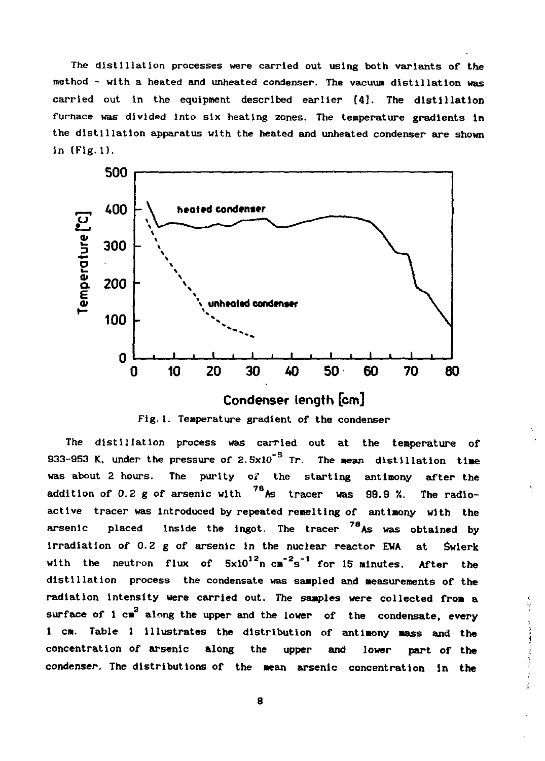**The distillation processes were carried out using both variants of the method - with a heated and unheated condenser. The vacuum distillation was carried out in the equipment described earlier [4]. The distillation furnace was divided into six heating zones. The temperature gradients in the distillation apparatus with the heated and unheated condenser are shown in (Fig. 1).**



**Fig.I. Temperature gradient of the condenser**

**The distillation process was carried out at the temperature of 933-953 K, under the pressure of 2.5x10<sup>\*5</sup> Tr. The mean distillation time was about 2 hours. The purity oi\* the starting antimony after the addition of 0.2 g of arsenic with 7e As tracer was 99.9 '/.. The radio active tracer was introduced by repeated remelting of antimony with the arsenic placed Inside the ingot. The tracer 7e As was obtained by Irradiation of 0.2 g of arsenic In the nuclear reactor EWA at świerk with the neutron flux of 5xl0<sup>12</sup> n cm"<sup>2</sup> s"<sup>1</sup> for 15 minutes. After the distillation process the condensate was sampled and measurements of the radiation intensity were carried out. The samples were collected from a surface of 1 cm 2 along the upper and the lower of the condensate, every 1 cm. Table 1 Illustrates the distribution of antimony mass and the concentration of arsenic along the upper and lower part of the condenser. The distributions of the mean arsenic concentration in the**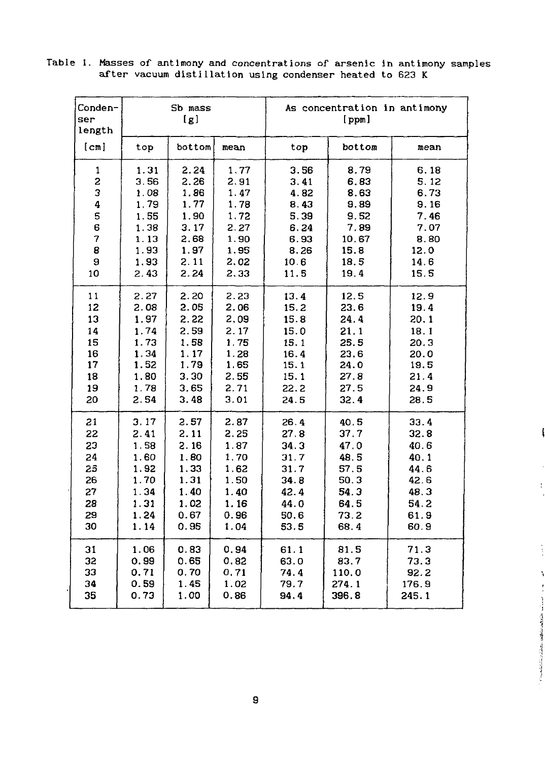| Conden-<br><b>Ser</b><br>length |      | Sb mass<br>[g] |      |      | As concentration in antimony<br>[ppm] |       |  |
|---------------------------------|------|----------------|------|------|---------------------------------------|-------|--|
| [cm]                            | top  | bottom         | mean | top  | bottom                                | mean  |  |
| 1                               | 1.31 | 2.24           | 1.77 | 3.56 | 8.79                                  | 6.18  |  |
| 2                               | 3.56 | 2.26           | 2.91 | 3.41 | 6.83                                  | 5.12  |  |
| 3                               | 1.08 | 1.86           | 1.47 | 4.82 | 8.63                                  | 6.73  |  |
| 4                               | 1.79 | 1.77           | 1.78 | 8.43 | 9.89                                  | 9.16  |  |
| 5                               | 1.55 | 1.90           | 1.72 | 5.39 | 9.52                                  | 7.46  |  |
| 6                               | 1.38 | 3.17           | 2.27 | 6.24 | 7.89                                  | 7.07  |  |
| 7                               | 1.13 | 2.68           | 1.90 | 6.93 | 10.67                                 | 8.80  |  |
| 8                               | 1.93 | 1.97           | 1.95 | 8.26 | 15.8                                  | 12.0  |  |
| 9                               | 1.93 | 2.11           | 2.02 | 10.6 | 18.5                                  | 14.6  |  |
| 10                              | 2.43 | 2.24           | 2.33 | 11.5 | 19.4                                  | 15.5  |  |
| 11                              | 2.27 | 2.20           | 2.23 | 13.4 | 12.5                                  | 12.9  |  |
| 12                              | 2.08 | 2.05           | 2.06 | 15.2 | 23.6                                  | 19.4  |  |
| 13                              | 1.97 | 2.22           | 2.09 | 15.8 | 24.4                                  | 20.1  |  |
| 14                              | 1.74 | 2.59           | 2.17 | 15.0 | 21.1                                  | 18.1  |  |
| 15                              | 1.73 | 1.58           | 1.75 | 15.1 | 25.5                                  | 20.3  |  |
| 16                              | 1.34 | 1.17           | 1.28 | 16.4 | 23.6                                  | 20.0  |  |
| 17                              | 1.52 | 1.79           | 1.65 | 15.1 | 24.0                                  | 19.5  |  |
| 18                              | 1.80 | 3.30           | 2.55 | 15.1 | 27.8                                  | 21.4  |  |
| 19                              | 1.78 | 3.65           | 2.71 | 22.2 | 27.5                                  | 24.9  |  |
| 20                              | 2.54 | 3.48           | 3.01 | 24.5 | 32.4                                  | 28.5  |  |
| 21                              | 3.17 | 2.57           | 2.87 | 26.4 | 40.5                                  | 33.4  |  |
| 22                              | 2.41 | 2.11           | 2.25 | 27.8 | 37.7                                  | 32.8  |  |
| 23                              | 1.58 | 2.16           | 1.87 | 34.3 | 47.0                                  | 40.6  |  |
| 24                              | 1.60 | 1.80           | 1,70 | 31.7 | 48.5                                  | 40.1  |  |
| 25                              | 1.92 | 1.33           | 1.62 | 31.7 | 57.5                                  | 44.6  |  |
| 26                              | 1.70 | 1.31           | 1.50 | 34.8 | 50.3                                  | 42.6  |  |
| 27                              | 1.34 | 1.40           | 1.40 | 42.4 | 54.3                                  | 48.3  |  |
| 28                              | 1.31 | 1.02           | 1.16 | 44.0 | 64.5                                  | 54.2  |  |
| 29                              | 1.24 | 0.67           | 0.96 | 50.6 | 73.2                                  | 61.9  |  |
| 30                              | 1.14 | 0.95           | 1.04 | 53.5 | 68.4                                  | 60.9  |  |
| 31                              | 1.06 | 0.83           | 0.94 | 61.1 | 81.5                                  | 71.3  |  |
| 32                              | 0.99 | 0.65           | 0.82 | 63.0 | 83.7                                  | 73.3  |  |
| 33                              | 0.71 | 0.70           | 0.71 | 74.4 | 110.0                                 | 92.2  |  |
| 34                              | 0.59 | 1.45           | 1.02 | 79.7 | 274.1                                 | 176.9 |  |
| 35                              | 0.73 | 1.00           | 0.86 | 94.4 | 396.8                                 | 245.1 |  |

 $\ddot{\cdot}$ 

 $\frac{1}{3}$ 

í

Table 1. Masses of antimony and concentrations of arsenic in antimony samples after vacuum distillation using condenser heated to 623 К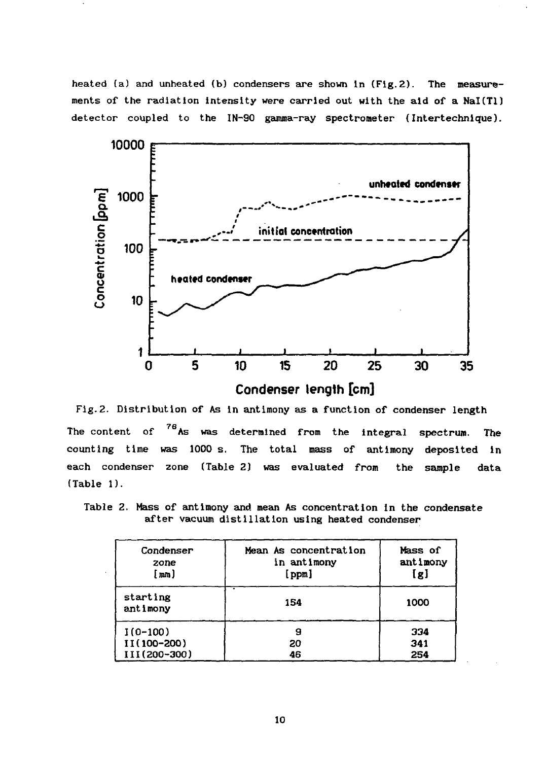**heated (a) and unheated (b) condensers are shown In (Fig.2). The measure ments of the radiation intensity were carried out with the aid of a Nal(Tl) detector coupled to the IN-90 gamma-ray spectrometer {Intertechnique).**



**Fig.2. Distribution of As in antimony as a function of condenser length** The content of <sup>76</sup>As was determined from the integral spectrum. The **counting time was 1000 s. The total mass of antimony deposited in each condenser zone (Table 2) was evaluated from the sample data (Table 1).**

**Table 2. Mass of antimony and mean As concentration In the condensate after vacuum distillation using heated condenser**

| Condenser<br>zone<br>[mm] | Mean As concentration<br>in antimony<br>[ppm] | Mass of<br>antimony<br>[g] |  |
|---------------------------|-----------------------------------------------|----------------------------|--|
| starting<br>antimony      | 154                                           | 1000                       |  |
| $1(0-100)$                | 9                                             | 334                        |  |
| II(100-200)               | 20                                            | 341                        |  |
| III(200-300)              | 46                                            | 254                        |  |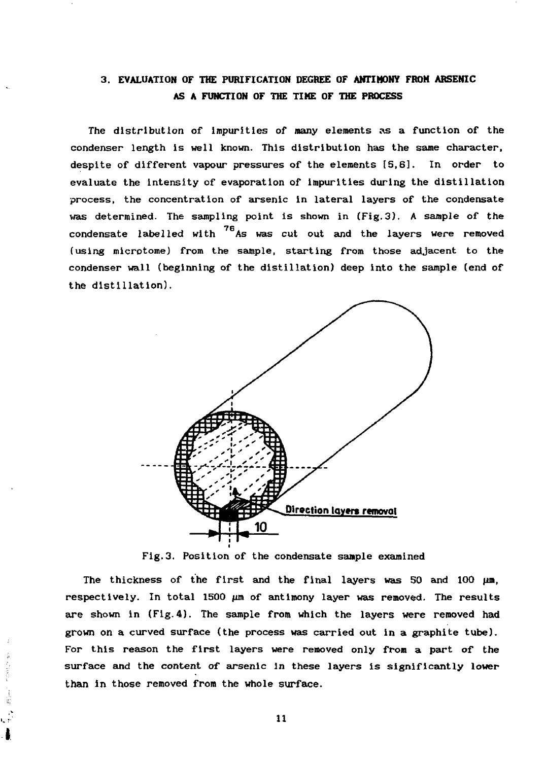# **3. EVALUATION OF THE PURIFICATION DEGREE OF ANTIMONY FROM ARSENIC AS A FUNCTION OF THE TIME OF THE PROCESS**

**The distribution of impurities of many elements as a function of the condenser length is well known. This distribution has the same character, despite of different vapour pressures of the elements [5,6]. In order to evaluate the intensity of evaporation of impurities during the distillation process, the concentration of arsenic in lateral layers of the condensate was determined. The sampling point is shown in (Fig.3). A sample of the** condensate labelled with  $^{76}$ As was cut out and the layers were removed (using microtome) from the sample, starting from those adjacent to the condenser wall (beginning of the distillation) deep into the sample (end of the distillation).



**Fig.3. Position of the condensate sample examined**

The thickness of the first and the final layers was 50 and 100  $\mu$ m, respectively. In total 1500  $\mu$ m of antimony layer was removed. The results **are shown in (Fig. 4). The sample from which the layers were removed had grown on a curved surface (the process was carried out in a graphite tube). For this reason the first layers were removed only from a part of the surface and the content of arsenic in these layers is significantly lower than in those removed from the whole surface.**

move in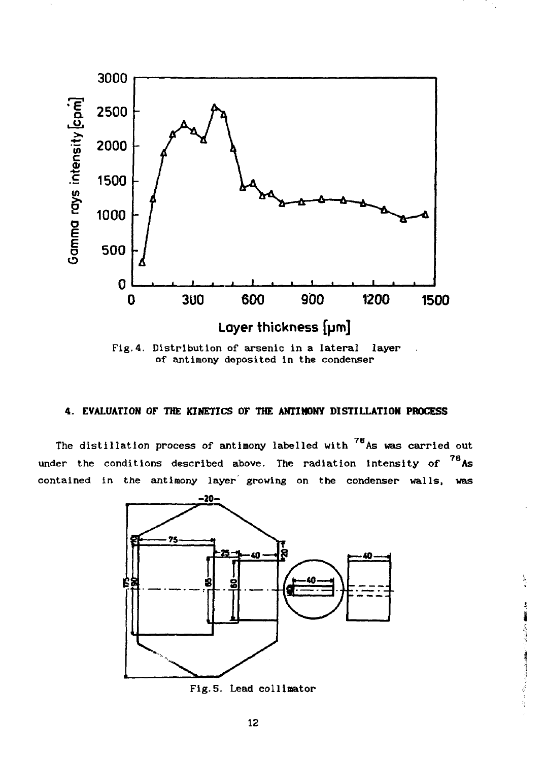

of antimony deposited in the condenser

## **4. EVALUATION OF THE KINETICS OF THE ANTIMONY DISTILLATION PROCESS**

The distillation process of antimony labelled with  $^{76}$ As was carried out under the conditions described above. The radiation intensity of  $^{78}$ As contained in the antimony layer growing on the condenser walls, was



Fig.5. Lead collimator

contractor in the contractor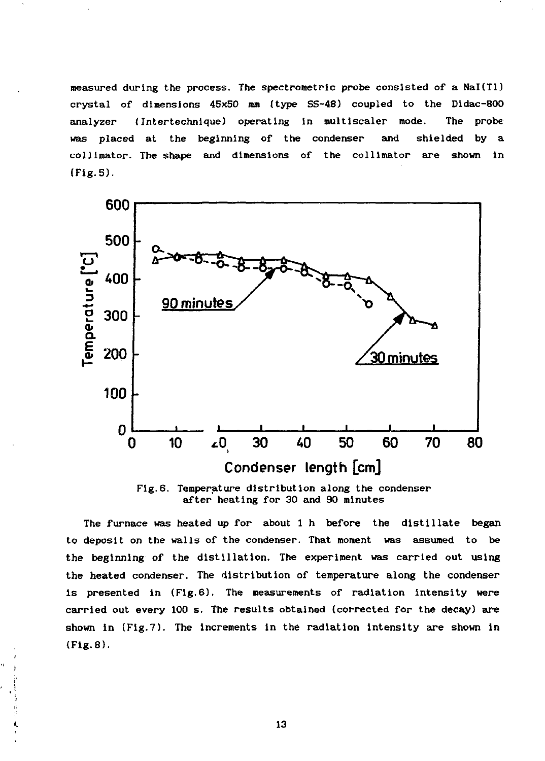measured during the process. The spectrometric probe consisted of a NaI(Tl) **crystal of dimensions 45x50 mm (type SS-48) coupled to the Didac-800 analyzer (Intertechnique) operating in multiscaler mode. The probe was placed at the beginning of the condenser and shielded by a coin mat or. The shape and dimensions of the collimator are shown in (Fig.5).**



**Fig.6. Temperature distribution along the condenser after heating for 30 and 90 minutes**

**The furnace was heated up for about 1 h before the distillate began to deposit on the walls of the condenser. That moment was assumed to be the beginning of the distillation. The experiment was carried out using the heated condenser. The distribution of temperature along the condenser is presented in (Fig.6). The measurements of radiation intensity were carried out every 100 s. The results obtained (corrected for the decay) are shown in (Fig.7). The increments in the radiation intensity are shown in (Fig.8).**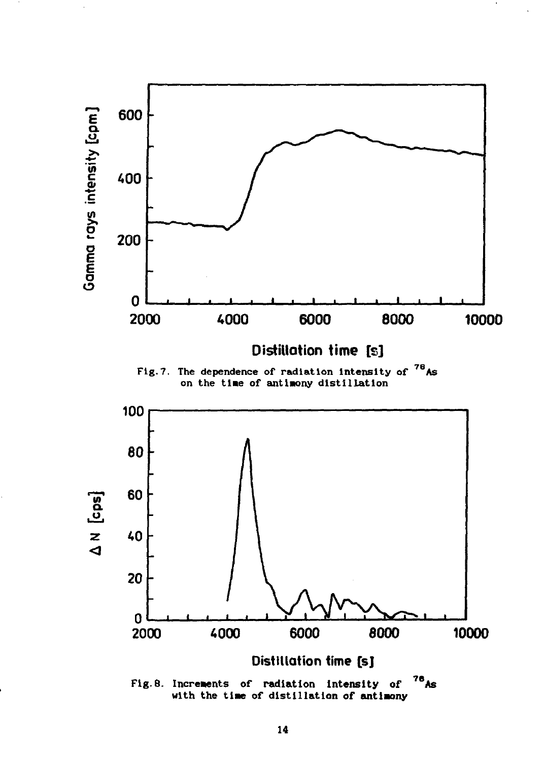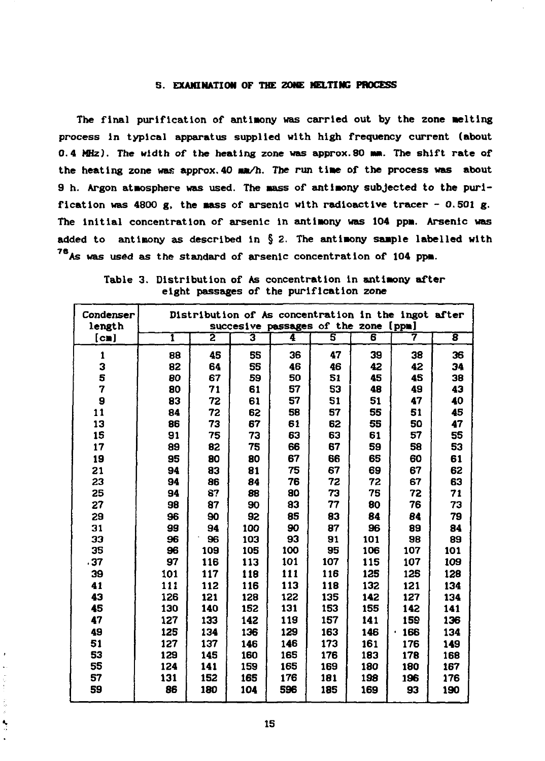## **S. EXAMINATION OF THE ZONE MELTING PROCESS**

**The final purification of antimony was carried out by the zone melting process In typical apparatus supplied with high frequency current (about 0.4 MHz). The width of the heating zone was approx.80 NH. The shift rate of the heating zone was approx. 40 mm/h. The run time of the process was about 9 h. Argon atmosphere was used. The mass of antimony subjected to the purification was 4800 g, the mass of arsenic with radioactive tracer - 0.501 g. The Initial concentration of arsenic in antimony was 104 ppm. Arsenic was added to antimony as described in § 2. The antimony sample labelled with As was used as the standard of arsenic concentration of 104 ppm.**

| Condenser               |     |                         |     |     | succesive passages of the zone [ppm] |     | Distribution of As concentration in the ingot after |                         |
|-------------------------|-----|-------------------------|-----|-----|--------------------------------------|-----|-----------------------------------------------------|-------------------------|
| length<br>[ <b>cm</b> ] | ī   | $\overline{\mathbf{2}}$ | 3   | 4   | $\overline{\mathbf{s}}$              | 6   | 7                                                   | $\overline{\mathbf{g}}$ |
|                         |     |                         |     |     |                                      |     |                                                     |                         |
| 1                       | 88  | 45                      | 55  | 36  | 47                                   | 39  | 38                                                  | 36                      |
| 3                       | 82  | 64                      | 55  | 46  | 46                                   | 42  | 42                                                  | 34                      |
| 5                       | 80  | 67                      | 59  | 50  | 51                                   | 45  | 45                                                  | 38                      |
| 7                       | 80  | 71                      | 61  | 57  | 53                                   | 48  | 49                                                  | 43                      |
| 9                       | 83  | 72                      | 61  | 57  | 51                                   | 51  | 47                                                  | 40                      |
| 11                      | 84  | 72                      | 62  | 58  | 57                                   | 55  | 51                                                  | 45                      |
| 13                      | 86  | 73                      | 67  | 61  | 62                                   | 55  | 50                                                  | 47                      |
| 15                      | 91  | 75                      | 73  | 63  | 63                                   | 61  | 57                                                  | 55                      |
| 17                      | 89  | 82                      | 75  | 66  | 67                                   | 59  | 58                                                  | 53                      |
| 19                      | 95  | 80                      | 80  | 67  | 66                                   | 65  | 60                                                  | 61                      |
| 21                      | 94  | 83                      | 81  | 75  | 67                                   | 69  | 67                                                  | 62                      |
| 23                      | 94  | 86                      | 84  | 76  | 72                                   | 72  | 67                                                  | 63                      |
| 25                      | 94  | 87                      | 88  | 80  | 73                                   | 75  | 72                                                  | 71                      |
| 27                      | 98  | 87                      | 90  | 83  | 77                                   | 80  | 76                                                  | 73                      |
| 29                      | 96  | 90                      | 92  | 85  | 83                                   | 84  | 84                                                  | 79                      |
| 31                      | 99  | 94                      | 100 | 90  | 87                                   | 96  | 89                                                  | 84                      |
| 33                      | 96  | 96                      | 103 | 93  | 91                                   | 101 | 98                                                  | 89                      |
| 35                      | 96  | 109                     | 105 | 100 | 95                                   | 106 | 107                                                 | 101                     |
| .37                     | 97  | 116                     | 113 | 101 | 107                                  | 115 | 107                                                 | 109                     |
| 39                      | 101 | 117                     | 118 | 111 | 116                                  | 125 | 125                                                 | 128                     |
| 41                      | 111 | 112                     | 116 | 113 | 118                                  | 132 | 121                                                 | 134                     |
| 43                      | 126 | 121                     | 128 | 122 | 135                                  | 142 | 127                                                 | 134                     |
| 45                      | 130 | 140                     | 152 | 131 | 153                                  | 155 | 142                                                 | 141                     |
| 47                      | 127 | 133                     | 142 | 119 | 157                                  | 141 | 159                                                 | 136                     |
| 49                      | 125 | 134                     | 136 | 129 | 163                                  | 146 | 166<br>×.                                           | 134                     |
| 51                      | 127 | 137                     | 146 | 146 | 173                                  | 161 | 176                                                 | 149                     |
| 53                      | 129 | 145                     | 160 | 165 | 176                                  | 183 | 178                                                 | 168                     |
| 55                      | 124 | 141                     | 159 | 165 | 169                                  | 180 | 180                                                 | 167                     |
| 57                      | 131 | 152                     | 165 | 176 | 181                                  | 198 | 196                                                 | 176                     |
| 59                      | 86  | 180                     | 104 | 596 | 185                                  | 169 | 93                                                  | 190                     |
|                         |     |                         |     |     |                                      |     |                                                     |                         |

**Table 3. Distribution of As concentration In antimony after eight passages of the purification zone**

 $\frac{1}{2}$ Ĵ, k Ņ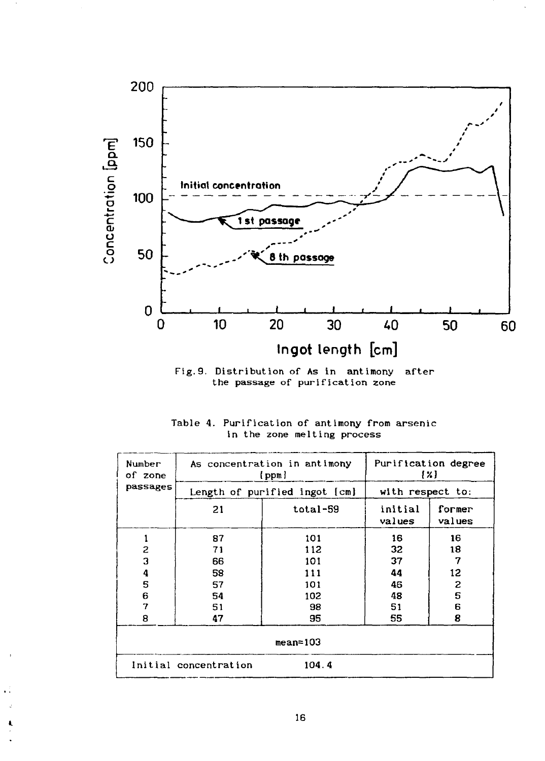

Fig.9. Distribution of As in antimony after the passage of purification zone

|  |  |                             |  |  | Table 4. Purification of antimony from arsenic |
|--|--|-----------------------------|--|--|------------------------------------------------|
|  |  | in the zone melting process |  |  |                                                |

| Number<br>of zone |                       | As concentration in antimony<br>[ppm] |                   | Purification degree<br>${x}$ |  |  |
|-------------------|-----------------------|---------------------------------------|-------------------|------------------------------|--|--|
| passages          |                       | Length of purified ingot [cm]         | with respect to:  |                              |  |  |
|                   | 21                    | total-59                              | initial<br>values | former<br>values             |  |  |
|                   | 87                    | 101                                   | 16                | 16                           |  |  |
| 2                 | 71                    | 112                                   | 32                | 18                           |  |  |
| 3                 | 66                    | 101                                   | 37                | 7                            |  |  |
| 4                 | 58                    | 111                                   | 44                | 12                           |  |  |
| 5                 | 57                    | 101                                   | 46                | 2                            |  |  |
| 6                 | 54                    | 102                                   | 48                | 5                            |  |  |
| 7                 | 51                    | 98                                    | 51                | 6                            |  |  |
| 8                 | 47                    | 95                                    | 55                | 8                            |  |  |
| $mean = 103$      |                       |                                       |                   |                              |  |  |
|                   | Initial concentration | 104.4                                 |                   |                              |  |  |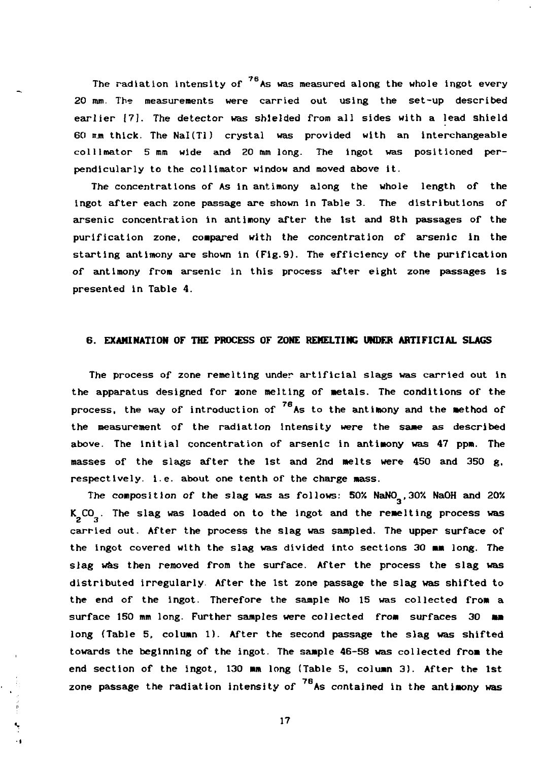**The radiation intensity of <sup>76</sup> A s was measured along the whole ingot every 20 mm. The measurements were carried out using the set-up described earlier |7J. The detector was shielded from all sides with a lead shield 60 ir.m thick. The Nal(Tl) crystal was provided with an interchangeable collitnator 5 mm wide and 20 mm long. The ingot was positioned per pendicularly to the collimator window and moved above it.**

**The concentrations of As in antimony along the whole length of the ingot after each zone passage are shown in Table 3. The distributions of arsenic concentration in antimony after the 1st and 8th passages of the purification zone, compared with the concentration of arsenic in the starting antimony are shown in (Fig.9). The efficiency of the purification of antimony from arsenic in this process after eight zone passages is presented in Table 4.**

## **6. EXAMINATION OF THE PROCESS OF ZONE REMELTING UNDER ARTIFICIAL SLAGS**

**The process of zone remelting under artificial slags was carried out in the apparatus designed for aone melting of metals. The conditions of the** process, the way of introduction of <sup>76</sup>As to the antimony and the method of **the measurement of the radiation Intensity were the same as described above. The initial concentration of arsenic in antimony was 47 ppm. The masses of the slags after the 1st and 2nd melts were 450 and 350 g, respectively, i.e. about one tenth of the charge mass.**

The composition of the slag was as follows: 50% NaNO<sub>2</sub>, 30% NaOH and 20% K<sub>2</sub>CO<sub>2</sub>. The slag was loaded on to the ingot and the remelting process was carried out. After the process the slag was sampled. The upper surface of the ingot covered with the slag was divided into sections 30 mm long. The slag was then removed from the surface. After the process the slag was distributed irregularly. After the 1st zone passage the slag was shifted to the end of the ingot. Therefore the sample No 15 was collected from a surface 150 mm long. Further samples were collected from surfaces 30 mm long (Table 5, column 1). After the second passage the slag was shifted towards the beginning of the ingot. The sample 46-58 was collected from the end section of the ingot, 130 mm long (Table 5, column 3). After the 1st **end section of the ingot, 130 mm long (Table 5, column 3). After the 1st zone passage the radiation intensity of As contained in the antimony was**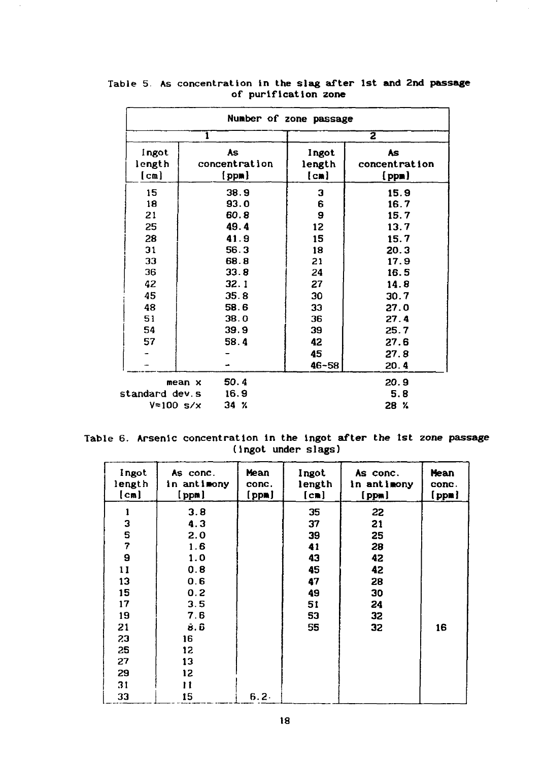| Number of zone passage                                   |                                                                              |                                                       |                                                                              |  |  |  |
|----------------------------------------------------------|------------------------------------------------------------------------------|-------------------------------------------------------|------------------------------------------------------------------------------|--|--|--|
|                                                          | 1                                                                            |                                                       | $\overline{\mathbf{z}}$                                                      |  |  |  |
| ingot<br>length<br>[cm]                                  | <b>As</b><br>Ingot<br>concentration<br>length<br>[ppn]<br>[cm]               |                                                       | <b>As</b><br>concentration<br>[ppn]                                          |  |  |  |
| 15<br>18<br>21<br>25<br>28<br>31<br>33<br>36<br>42<br>45 | 38.9<br>93.0<br>60.8<br>49.4<br>41.9<br>56.3<br>68.8<br>33.8<br>32.1<br>35.8 | 3<br>6<br>9<br>12<br>15<br>18<br>21<br>24<br>27<br>30 | 15.9<br>16.7<br>15.7<br>13.7<br>15.7<br>20.3<br>17.9<br>16.5<br>14.8<br>30.7 |  |  |  |
| 48<br>51<br>54<br>57                                     | 58.6<br>38.0<br>39.9<br>58.4                                                 | 33<br>36<br>39<br>42<br>45<br>$46 - 58$               | 27.0<br>27.4<br>25.7<br>27.6<br>27.8<br>20.4                                 |  |  |  |
| standard dev.s<br>$V = 100$ s/x                          | 50.4<br>mean x<br>16.9<br>$34 \;$ %                                          |                                                       | 20.9<br>5.8<br>28 %                                                          |  |  |  |

# **Table 5. As concentration in the slag after 1st and 2nd passage of purification zone**

**Table 6. Arsenic concentration in the ingot after the 1st zone passage (i ngot under s1ags)**

| Ingot<br>length<br>[cm] | As conc.<br>in antimony<br>[ppm] | Mean<br>conc.<br>[ppm] | Ingot<br>length<br>$[\text{cm}]$ | As conc.<br>in antimony<br>[ppm] | Mean<br>conc.<br>[ppn] |
|-------------------------|----------------------------------|------------------------|----------------------------------|----------------------------------|------------------------|
| 1                       | 3.8                              |                        | 35                               | 22                               |                        |
| 3                       | 4.3                              |                        | 37                               | 21                               |                        |
| S                       | 2.0                              |                        | 39                               | 25                               |                        |
| $\overline{7}$          | 1.6                              |                        | 41                               | 28                               |                        |
| 9                       | 1.0                              |                        | 43                               | 42                               |                        |
| 11                      | 0.8                              |                        | 45                               | 42                               |                        |
| 13                      | 0.6                              |                        | 47                               | 28                               |                        |
| 15                      | 0.2                              |                        | 49                               | 30                               |                        |
| 17                      | 3.5                              |                        | 51                               | 24                               |                        |
| 19                      | 7.6                              |                        | 53                               | 32                               |                        |
| 21                      | 8. ប៊                            |                        | 55                               | 32                               | 16                     |
| 23                      | 16                               |                        |                                  |                                  |                        |
| 25                      | 12                               |                        |                                  |                                  |                        |
| 27                      | 13                               |                        |                                  |                                  |                        |
| 29                      | 12                               |                        |                                  |                                  |                        |
| 31                      | 11                               |                        |                                  |                                  |                        |
| 33                      | 15                               | $6.2 -$                |                                  |                                  |                        |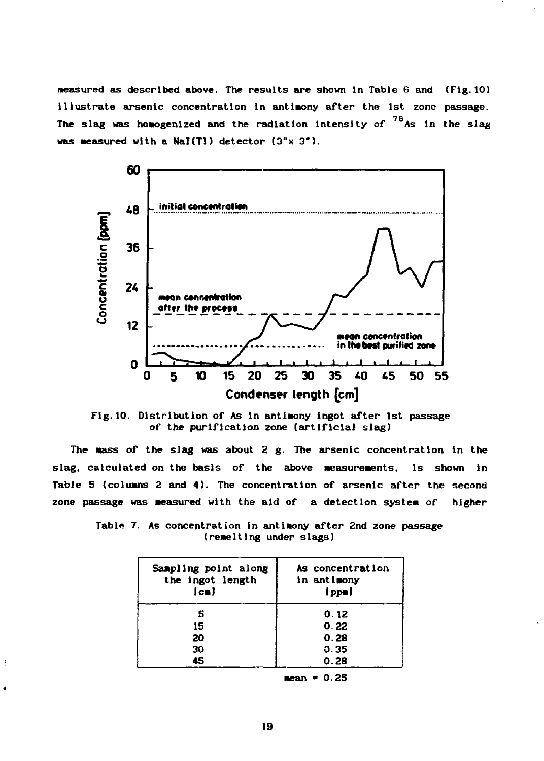**measured as described above. The results are shown in Table 6 and (Fig.10) illustrate arsenic concentration in antimony after the 1st zone passage.** The slag was homogenized and the radiation intensity of <sup>76</sup>As in the slag **was Measured with a Nal(Tl) detector (3"x 3").**



**Fig.10. Distribution of As in antimony ingot after 1st passage** *of* **the purification zone (artificial slag)**

The mass of the slag was about 2 g. The arsenic concentration in the slag, calculated on the basis of the above measurements, is shown in **Table 5 (columns 2 and 4). The concentration of arsenic after the second zone passage was measured with the aid of a detection system of higher**

| Sampling point along<br>the ingot length<br>$\lceil$ cm $\rceil$ | As concentration<br>in antimony<br>$[$ pps $]$ |
|------------------------------------------------------------------|------------------------------------------------|
| s                                                                | 0.12                                           |
| 15                                                               | 0.22                                           |
| 20                                                               | 0.28                                           |
| 30                                                               | 0.35                                           |
| 45                                                               | 0.28                                           |

 $\lambda$ 

**Table 7. As concentration in antimony after 2nd zone passage** (remelting under slags)

**mean \* 0. 25**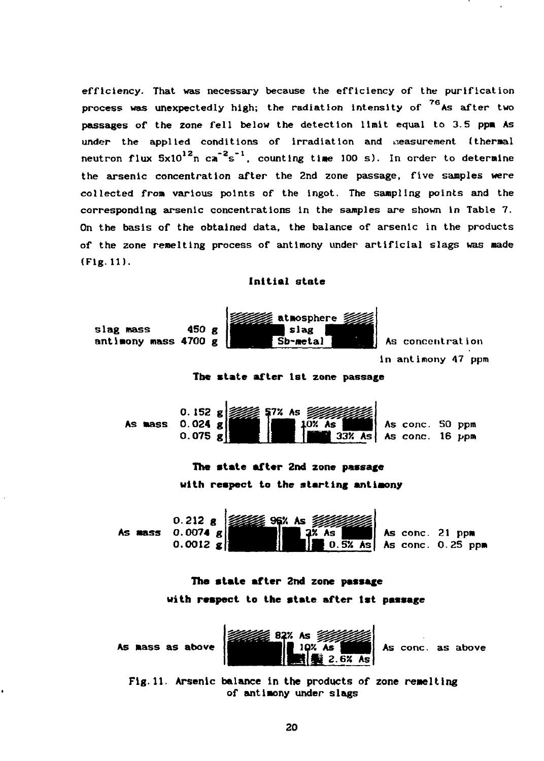efficiency. That was necessary because the efficiency of the purification process was unexpectedly high; the radiation intensity of  $^{76}$ As after two passages of the zone fell below the detection limit equal to 3.5 ppm As under the applied conditions of irradiation and measurement (thermal neutron flux  $5x10^{12}$ n ca<sup>-2</sup>s<sup>-1</sup>, counting time 100 s). In order to determine the arsenic concentration after the 2nd zone passage, five samples were collected from various points of the ingot. The sampling points and the corresponding arsenic concentrations in the samples are shown in Table 7. On the basis of the obtained data, the balance of arsenic in the products of the zone remelting process of antimony under artificial slags was made (Fig.11).

**Initial** state



## **with respect to the state after 1st passage**



Fig.11. Arsenic balance in the products of zone remelting of antimony under slags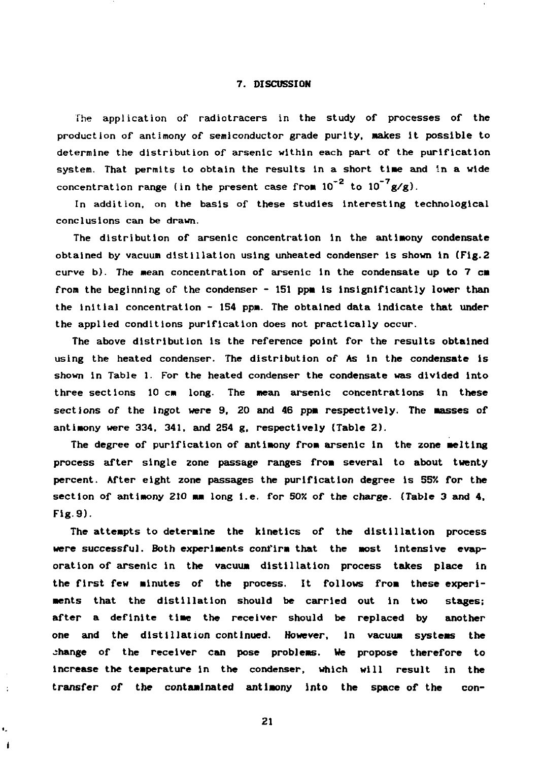#### **7. DISCUSSION**

**The application of radiotracers in the study of processes of the production of antimony of semiconductor grade purity, makes it possible to determine the distribution of arsenic within each part of the purification system. That permits to obtain the results in a short time and in a wide** concentration range (in the present case from  $10^{-2}$  to  $10^{-7}$  g/g).

**In addition, on the basis of these studies Interesting technological conclusions can be drawn.**

**The distribution of arsenic concentration in the antimony condensate obtained by vacuum distillation using unheated condenser is shown in (Fig.2 curve b). The mean concentration of arsenic in the condensate up to 7 cm from the beginning of the condenser - 151 ppm is insignificantly lower than the initial concentration - 154 ppm. The obtained data indicate that under the applied conditions purification does not practically occur.**

**The above distribution is the reference point for the results obtained using the heated condenser. The distribution of As in the condensate is shown in Table 1. For the heated condenser the condensate was divided Into three sections 10 cm long. The mean arsenic concentrations in these sections of the ingot were 9, 20 and 46 ppm respectively. The masses of antimony were 334, 341, and 254 g, respectively (Table 2).**

**The degree of purification of antimony from arsenic in the zone melting process after single zone passage ranges from several to about twenty percent. After eight zone passages the purification degree Is 554 for the section of antimony 210 mm long i.e. for 50X of the charge. (Table 3 and 4, Fig.9).**

**The attempts to determine the kinetics of the distillation process were successful. Both experiments confirm that the most intensive evaporation of arsenic in the vacuum distillation process takes place in the first few minutes of the process. It follows from these experiments that the distillation should be carried out in two stages; after a definite time the receiver should be replaced by another one and the distillation continued. However, In vacuum systems the change of the receiver can pose problems. We propose therefore to increase the temperature in the condenser, which will result in the transfer of the contaminated antimony into the space of the con-**

**21**

ŧ. 1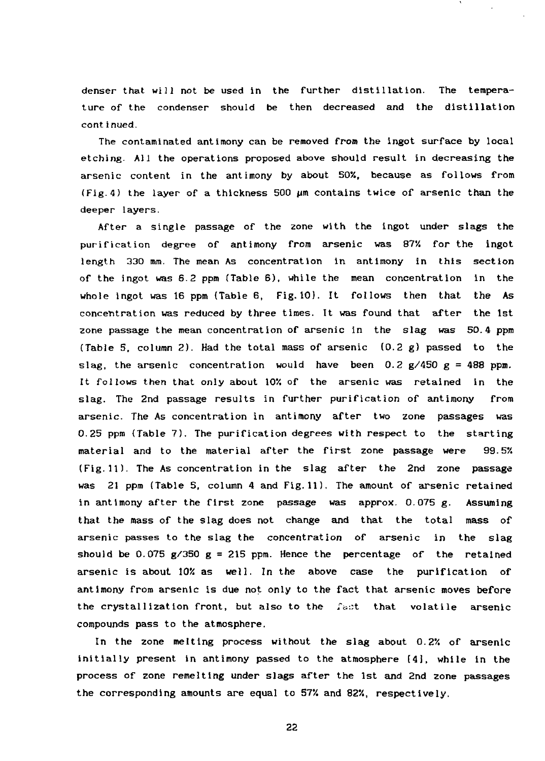denser that will not be used in the further distillation. The tempera ture of the condenser should be then decreased and the distillation cont inued.

The contaminated antimony can be removed from the ingot surface by local etching. All the operations proposed above should result in decreasing the arsenic content in the antimony by about SOX, because as follows from  ${Fig. 4}$  the layer of a thickness 500  $\mu$ m contains twice of arsenic than the deeper layers.

After a single passage of the zone with the ingot under slags the purification degree of antimony from arsenic was 87% for the ingot length 330 mm. The mean As concentration in antimony in this section of the ingot was 6.2 ppm (Table 6), while the mean concentration in the whole ingot was 16 ppm (Table 6, Fig.10). It follows then that the As concentration was reduced by three times. It was found that after the 1st zone passage the mean concentration of arsenic in the slag was 50.4 ppm (Table 5, column 2). Had the total mass of arsenic  $(0.2 g)$  passed to the slag, the arsenic concentration would have been 0.2  $g/450 g = 488$  ppm. It follows then that only about 10X of the arsenic was retained in the slag. The 2nd passage results in further purification of antimony from arsenic. The As concentration in antimony after two zone passages was 0.25 ppm (Table 7). The purification degrees with respect to the starting material and to the material after the first zone passage were 99.5% (Fig. 11). The As concentration in the slag after the 2nd zone passage was 21 ppm (Table 5, column 4 and Fig.11). The amount of arsenic retained in antimony after the first zone passage was approx. 0.075 g. Assuming that the mass of the slag does not change and that the total mass of arsenic passes to the slag the concentration of arsenic in the slag should be 0.075  $g/350 g = 215$  ppm. Hence the percentage of the retained arsenic is about  $10\%$  as well. In the above case the purification of antimony from arsenic is due not only to the fact that arsenic moves before the crystallization front, but also to the *fant* that volatile arsenic compounds pass to the atmosphere.

In the zone melting process without the slag about  $0.2\%$  of arsenic initially present in antimony passed to the atmosphere (4J, while in the process of zone remelting under slags after the 1st and 2nd zone passages the corresponding amounts are equal to  $57%$  and  $82%$ , respectively.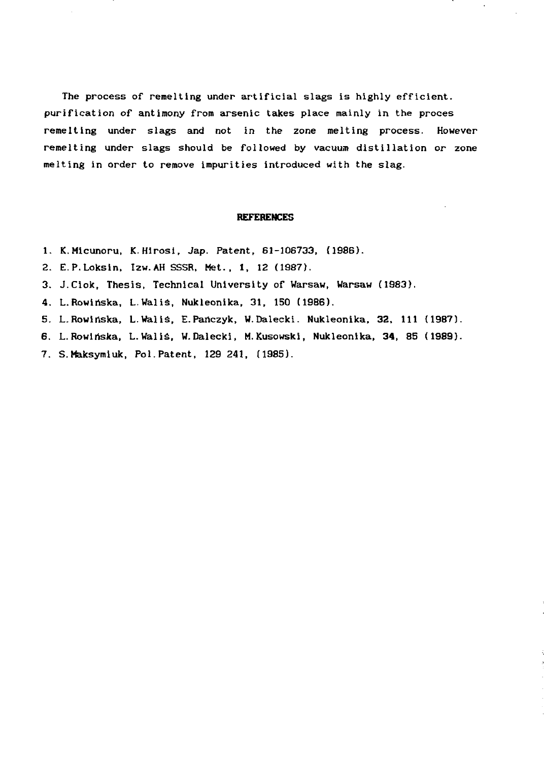The process of remelting under artificial slags is highly efficient. purification of antimony from arsenic takes place mainly in the proces remelting under slags and not in the zone melting process. However remelting under slags should be followed by vacuum distillation or zone melting in order to remove impurities introduced with the slag.

#### **REFERENCES**

- 1. K.Micunoru, K.Hirosi, Jap. Patent, 61-106733, (1986).
- 2. E.P.Loksin. Izw.AHSSSR, Met., 1, 12 (1987).
- 3. J.Ciok, Thesis, Technical University of Warsaw, Warsaw (1983).
- 4. L.Rowinska, L.Waliś, Nukleonika, 31, 150 (1986).
- 5. L.Rowińska, L.Waliś, E.Pańczyk, W.Dalecki. Nukleonika, 32, 111 (1987).
- 6. L.Rowinska, L.Waliś, W.Dalecki, M.Kusowski, Nukleonika, 34, 85 (1989).
- 7. S.Maksymiuk, Pol.Patent, 129 241, (1985).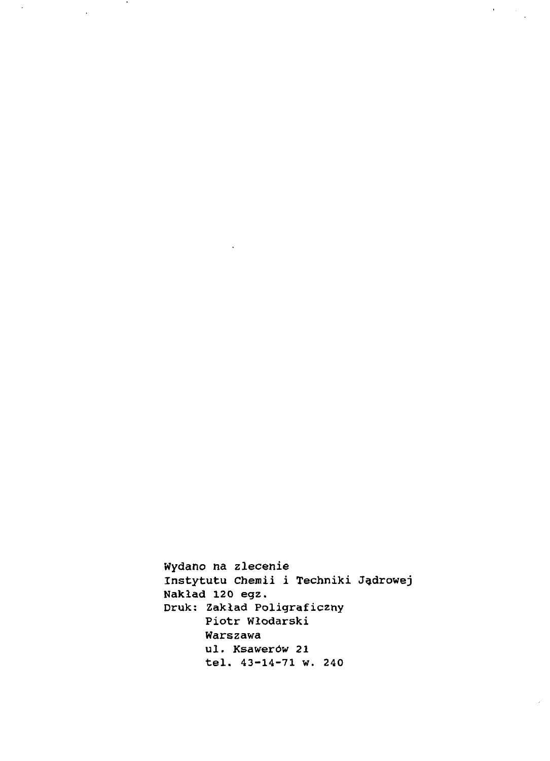Wydano na zlecenie Instytutu chemii i Techniki Jądrowej Nakład 120 egz. Druk: Zakład Poligraficzny Piotr Włodarski Warszawa ul. Ksawerów 21 tel. 43-14-71 w. 240

 $\label{eq:2} \begin{split} \mathcal{A}^{(1)}_{\text{max}}&=\mathcal{A}^{(1)}_{\text{max}}\,, \end{split}$ 

 $\sim$ 

 $\ddot{\phantom{a}}$